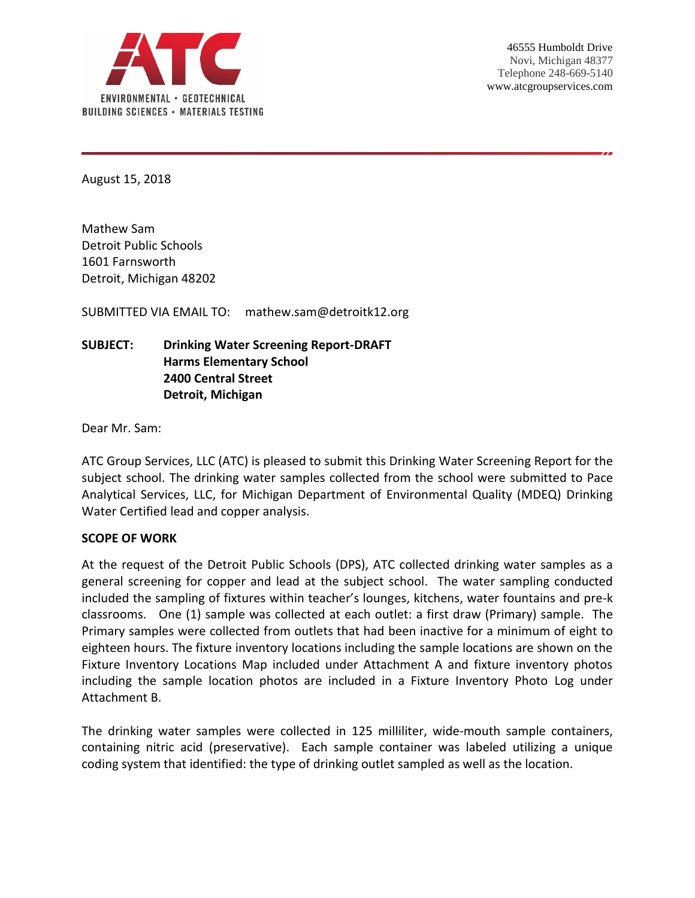

August 15, 2018

Mathew Sam Detroit Public Schools 1601 Farnsworth Detroit, Michigan 48202

SUBMITTED VIA EMAIL TO: mathew.sam@detroitk12.org

# **SUBJECT: Drinking Water Screening Report-DRAFT Harms Elementary School 2400 Central Street Detroit, Michigan**

Dear Mr. Sam:

ATC Group Services, LLC (ATC) is pleased to submit this Drinking Water Screening Report for the subject school. The drinking water samples collected from the school were submitted to Pace Analytical Services, LLC, for Michigan Department of Environmental Quality (MDEQ) Drinking Water Certified lead and copper analysis.

### **SCOPE OF WORK**

At the request of the Detroit Public Schools (DPS), ATC collected drinking water samples as a general screening for copper and lead at the subject school. The water sampling conducted included the sampling of fixtures within teacher's lounges, kitchens, water fountains and pre-k classrooms. One (1) sample was collected at each outlet: a first draw (Primary) sample. The Primary samples were collected from outlets that had been inactive for a minimum of eight to eighteen hours. The fixture inventory locations including the sample locations are shown on the Fixture Inventory Locations Map included under Attachment A and fixture inventory photos including the sample location photos are included in a Fixture Inventory Photo Log under Attachment B.

The drinking water samples were collected in 125 milliliter, wide-mouth sample containers, containing nitric acid (preservative). Each sample container was labeled utilizing a unique coding system that identified: the type of drinking outlet sampled as well as the location.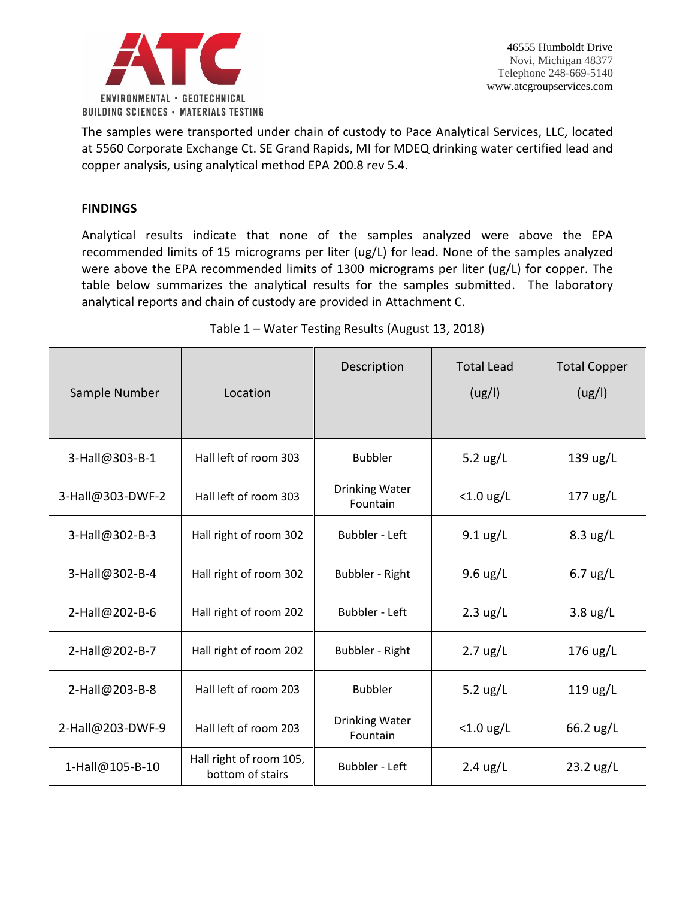

The samples were transported under chain of custody to Pace Analytical Services, LLC, located at 5560 Corporate Exchange Ct. SE Grand Rapids, MI for MDEQ drinking water certified lead and copper analysis, using analytical method EPA 200.8 rev 5.4.

## **FINDINGS**

Analytical results indicate that none of the samples analyzed were above the EPA recommended limits of 15 micrograms per liter (ug/L) for lead. None of the samples analyzed were above the EPA recommended limits of 1300 micrograms per liter (ug/L) for copper. The table below summarizes the analytical results for the samples submitted. The laboratory analytical reports and chain of custody are provided in Attachment C.

| Sample Number    | Location                                    | Description                       | <b>Total Lead</b><br>(ug/l) | <b>Total Copper</b><br>(ug/l) |
|------------------|---------------------------------------------|-----------------------------------|-----------------------------|-------------------------------|
| 3-Hall@303-B-1   | Hall left of room 303                       | <b>Bubbler</b>                    | 5.2 $\frac{1}{2}$ L         | 139 ug/L                      |
| 3-Hall@303-DWF-2 | Hall left of room 303                       | <b>Drinking Water</b><br>Fountain | $<$ 1.0 ug/L                | $177 \text{ ug/L}$            |
| 3-Hall@302-B-3   | Hall right of room 302                      | <b>Bubbler - Left</b>             | $9.1 \text{ ug/L}$          | $8.3 \text{ ug/L}$            |
| 3-Hall@302-B-4   | Hall right of room 302                      | Bubbler - Right                   | $9.6 \text{ ug/L}$          | $6.7$ ug/L                    |
| 2-Hall@202-B-6   | Hall right of room 202                      | <b>Bubbler - Left</b>             | $2.3 \text{ ug/L}$          | $3.8 \text{ ug/L}$            |
| 2-Hall@202-B-7   | Hall right of room 202                      | <b>Bubbler - Right</b>            | $2.7 \text{ ug/L}$          | 176 ug/L                      |
| 2-Hall@203-B-8   | Hall left of room 203                       | <b>Bubbler</b>                    | 5.2 $\frac{1}{2}$ L         | $119 \text{ ug/L}$            |
| 2-Hall@203-DWF-9 | Hall left of room 203                       | <b>Drinking Water</b><br>Fountain | $<$ 1.0 ug/L                | 66.2 ug/L                     |
| 1-Hall@105-B-10  | Hall right of room 105,<br>bottom of stairs | <b>Bubbler - Left</b>             | $2.4 \text{ ug/L}$          | $23.2$ ug/L                   |

# Table 1 – Water Testing Results (August 13, 2018)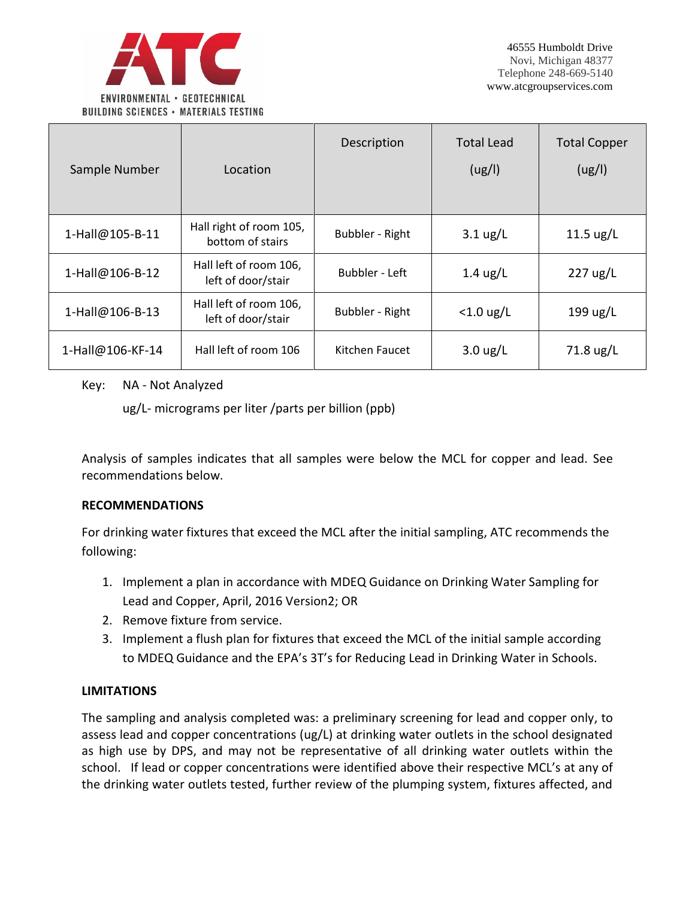

| Sample Number    | Location                                     | Description     | <b>Total Lead</b><br>(ug/l) | <b>Total Copper</b><br>(ug/l) |
|------------------|----------------------------------------------|-----------------|-----------------------------|-------------------------------|
| 1-Hall@105-B-11  | Hall right of room 105,<br>bottom of stairs  | Bubbler - Right | $3.1 \text{ ug/L}$          | $11.5 \text{ ug/L}$           |
| 1-Hall@106-B-12  | Hall left of room 106,<br>left of door/stair | Bubbler - Left  | $1.4 \text{ ug/L}$          | $227 \text{ ug/L}$            |
| 1-Hall@106-B-13  | Hall left of room 106,<br>left of door/stair | Bubbler - Right | $<$ 1.0 ug/L                | $199 \text{ ug/L}$            |
| 1-Hall@106-KF-14 | Hall left of room 106                        | Kitchen Faucet  | $3.0 \text{ ug/L}$          | 71.8 ug/L                     |

### Key: NA - Not Analyzed

ug/L- micrograms per liter /parts per billion (ppb)

Analysis of samples indicates that all samples were below the MCL for copper and lead. See recommendations below.

### **RECOMMENDATIONS**

For drinking water fixtures that exceed the MCL after the initial sampling, ATC recommends the following:

- 1. Implement a plan in accordance with MDEQ Guidance on Drinking Water Sampling for Lead and Copper, April, 2016 Version2; OR
- 2. Remove fixture from service.
- 3. Implement a flush plan for fixtures that exceed the MCL of the initial sample according to MDEQ Guidance and the EPA's 3T's for Reducing Lead in Drinking Water in Schools.

### **LIMITATIONS**

The sampling and analysis completed was: a preliminary screening for lead and copper only, to assess lead and copper concentrations (ug/L) at drinking water outlets in the school designated as high use by DPS, and may not be representative of all drinking water outlets within the school. If lead or copper concentrations were identified above their respective MCL's at any of the drinking water outlets tested, further review of the plumping system, fixtures affected, and